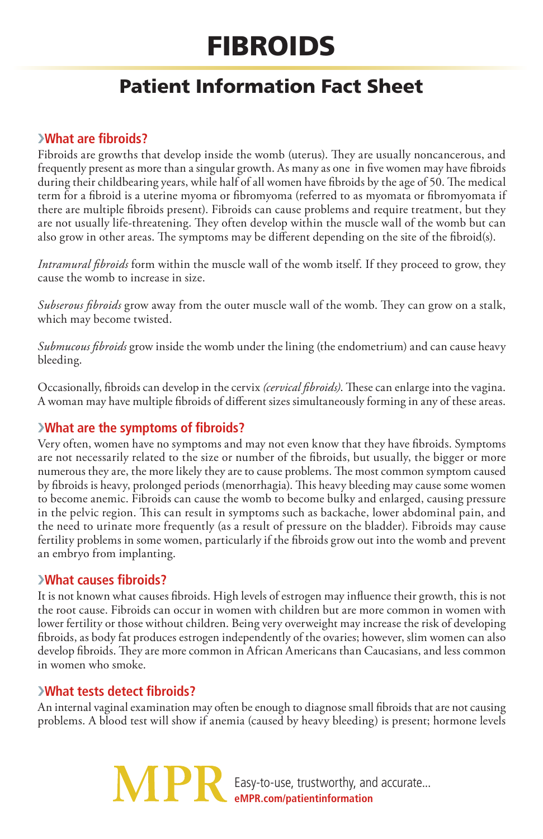# **FIBROIDS**

# Patient Information Fact Sheet

## ›**What are fibroids?**

Fibroids are growths that develop inside the womb (uterus). They are usually noncancerous, and frequently present as more than a singular growth. As many as one in five women may have fibroids during their childbearing years, while half of all women have fibroids by the age of 50. The medical term for a fibroid is a uterine myoma or fibromyoma (referred to as myomata or fibromyomata if there are multiple fibroids present). Fibroids can cause problems and require treatment, but they are not usually life-threatening. They often develop within the muscle wall of the womb but can also grow in other areas. The symptoms may be different depending on the site of the fibroid(s).

*Intramural fibroids* form within the muscle wall of the womb itself. If they proceed to grow, they cause the womb to increase in size.

*Subserous fibroids* grow away from the outer muscle wall of the womb. They can grow on a stalk, which may become twisted.

*Submucous fibroids* grow inside the womb under the lining (the endometrium) and can cause heavy bleeding.

Occasionally, fibroids can develop in the cervix *(cervical fibroids)*. These can enlarge into the vagina. A woman may have multiple fibroids of different sizes simultaneously forming in any of these areas.

### ›**What are the symptoms of fibroids?**

Very often, women have no symptoms and may not even know that they have fibroids. Symptoms are not necessarily related to the size or number of the fibroids, but usually, the bigger or more numerous they are, the more likely they are to cause problems. The most common symptom caused by fibroids is heavy, prolonged periods (menorrhagia). This heavy bleeding may cause some women to become anemic. Fibroids can cause the womb to become bulky and enlarged, causing pressure in the pelvic region. This can result in symptoms such as backache, lower abdominal pain, and the need to urinate more frequently (as a result of pressure on the bladder). Fibroids may cause fertility problems in some women, particularly if the fibroids grow out into the womb and prevent an embryo from implanting.

#### ›**What causes fibroids?**

It is not known what causes fibroids. High levels of estrogen may influence their growth, this is not the root cause. Fibroids can occur in women with children but are more common in women with lower fertility or those without children. Being very overweight may increase the risk of developing fibroids, as body fat produces estrogen independently of the ovaries; however, slim women can also develop fibroids. They are more common in African Americans than Caucasians, and less common in women who smoke.

#### ›**What tests detect fibroids?**

An internal vaginal examination may often be enough to diagnose small fibroids that are not causing problems. A blood test will show if anemia (caused by heavy bleeding) is present; hormone levels

> Easy-to-use, trustworthy, and accurate... **eMPR.com/patientinformation**